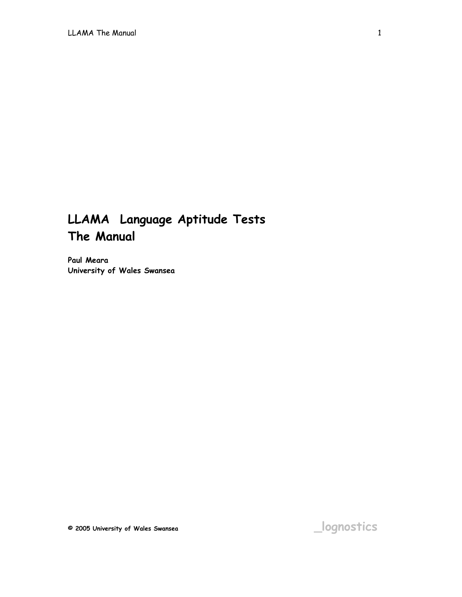# **LLAMA Language Aptitude Tests The Manual**

**Paul Meara University of Wales Swansea**

**© 2005 University of Wales Swansea \_lognostics**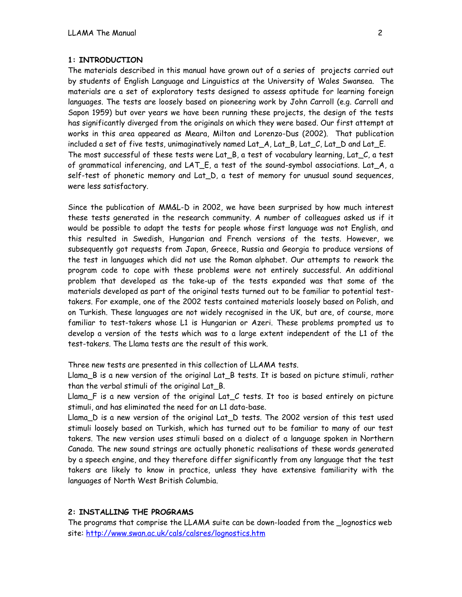## **1: INTRODUCTION**

The materials described in this manual have grown out of a series of projects carried out by students of English Language and Linguistics at the University of Wales Swansea. The materials are a set of exploratory tests designed to assess aptitude for learning foreign languages. The tests are loosely based on pioneering work by John Carroll (e.g. Carroll and Sapon 1959) but over years we have been running these projects, the design of the tests has significantly diverged from the originals on which they were based. Our first attempt at works in this area appeared as Meara, Milton and Lorenzo-Dus (2002). That publication included a set of five tests, unimaginatively named Lat\_A, Lat\_B, Lat\_C, Lat\_D and Lat\_E. The most successful of these tests were Lat  $B$ , a test of vocabulary learning, Lat  $C$ , a test of grammatical inferencing, and LAT\_E, a test of the sound-symbol associations. Lat\_A, a self-test of phonetic memory and Lat\_D, a test of memory for unusual sound sequences, were less satisfactory.

Since the publication of MM&L-D in 2002, we have been surprised by how much interest these tests generated in the research community. A number of colleagues asked us if it would be possible to adapt the tests for people whose first language was not English, and this resulted in Swedish, Hungarian and French versions of the tests. However, we subsequently got requests from Japan, Greece, Russia and Georgia to produce versions of the test in languages which did not use the Roman alphabet. Our attempts to rework the program code to cope with these problems were not entirely successful. An additional problem that developed as the take-up of the tests expanded was that some of the materials developed as part of the original tests turned out to be familiar to potential testtakers. For example, one of the 2002 tests contained materials loosely based on Polish, and on Turkish. These languages are not widely recognised in the UK, but are, of course, more familiar to test-takers whose L1 is Hungarian or Azeri. These problems prompted us to develop a version of the tests which was to a large extent independent of the L1 of the test-takers. The Llama tests are the result of this work.

Three new tests are presented in this collection of LLAMA tests.

Llama\_B is a new version of the original Lat\_B tests. It is based on picture stimuli, rather than the verbal stimuli of the original Lat\_B.

Llama\_F is a new version of the original Lat\_C tests. It too is based entirely on picture stimuli, and has eliminated the need for an L1 data-base.

Llama\_D is a new version of the original Lat\_D tests. The 2002 version of this test used stimuli loosely based on Turkish, which has turned out to be familiar to many of our test takers. The new version uses stimuli based on a dialect of a language spoken in Northern Canada. The new sound strings are actually phonetic realisations of these words generated by a speech engine, and they therefore differ significantly from any language that the test takers are likely to know in practice, unless they have extensive familiarity with the languages of North West British Columbia.

# **2: INSTALLING THE PROGRAMS**

The programs that comprise the LLAMA suite can be down-loaded from the \_lognostics web site:<http://www.swan.ac.uk/cals/calsres/lognostics.htm>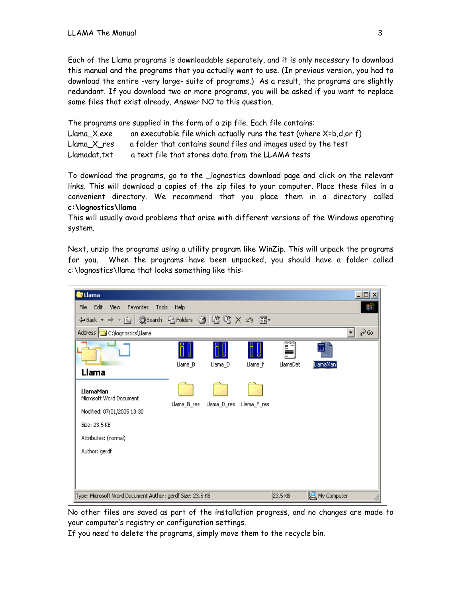Each of the Llama programs is downloadable separately, and it is only necessary to download this manual and the programs that you actually want to use. (In previous version, you had to download the entire -very large- suite of programs.) As a result, the programs are slightly redundant. If you download two or more programs, you will be asked if you want to replace some files that exist already. Answer NO to this question.

The programs are supplied in the form of a zip file. Each file contains: Llama  $X.exe$  an executable file which actually runs the test (where  $X=b$ ,d,or f) Llama\_X\_res a folder that contains sound files and images used by the test Llamadat.txt a text file that stores data from the LLAMA tests

To download the programs, go to the \_lognostics download page and click on the relevant links. This will download a copies of the zip files to your computer. Place these files in a convenient directory. We recommend that you place them in a directory called **c:\lognostics\llama**

This will usually avoid problems that arise with different versions of the Windows operating system.

Next, unzip the programs using a utility program like WinZip. This will unpack the programs for you. When the programs have been unpacked, you should have a folder called c:\lognostics\llama that looks something like this:



No other files are saved as part of the installation progress, and no changes are made to your computer's registry or configuration settings.

If you need to delete the programs, simply move them to the recycle bin.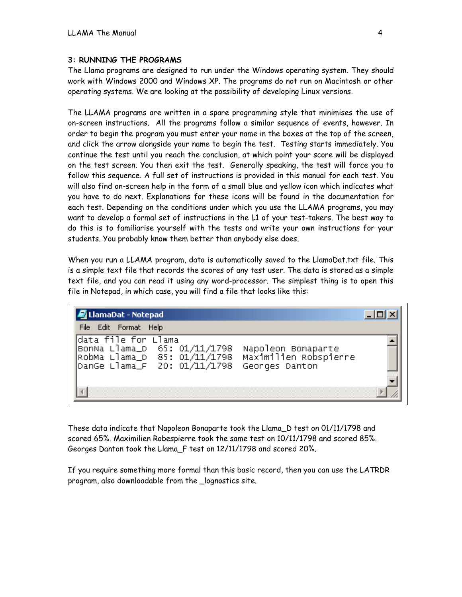#### **3: RUNNING THE PROGRAMS**

The Llama programs are designed to run under the Windows operating system. They should work with Windows 2000 and Windows XP. The programs do not run on Macintosh or other operating systems. We are looking at the possibility of developing Linux versions.

The LLAMA programs are written in a spare programming style that minimises the use of on-screen instructions. All the programs follow a similar sequence of events, however. In order to begin the program you must enter your name in the boxes at the top of the screen, and click the arrow alongside your name to begin the test. Testing starts immediately. You continue the test until you reach the conclusion, at which point your score will be displayed on the test screen. You then exit the test. Generally speaking, the test will force you to follow this sequence. A full set of instructions is provided in this manual for each test. You will also find on-screen help in the form of a small blue and yellow icon which indicates what you have to do next. Explanations for these icons will be found in the documentation for each test. Depending on the conditions under which you use the LLAMA programs, you may want to develop a formal set of instructions in the L1 of your test-takers. The best way to do this is to familiarise yourself with the tests and write your own instructions for your students. You probably know them better than anybody else does.

When you run a LLAMA program, data is automatically saved to the LlamaDat.txt file. This is a simple text file that records the scores of any test user. The data is stored as a simple text file, and you can read it using any word-processor. The simplest thing is to open this file in Notepad, in which case, you will find a file that looks like this:

| File Edit Format Help                                                                                                                                                                   |  |
|-----------------------------------------------------------------------------------------------------------------------------------------------------------------------------------------|--|
|                                                                                                                                                                                         |  |
| data file for Llama<br>BonNa Llama_D    65: 01/11/1798<br>Napoleon Bonaparte<br>Maximilien Robspierre<br>RobMa Llama_D 85: 01/11/1798<br>Dange Llama_F 20: 01/11/1798<br>Georges Danton |  |

These data indicate that Napoleon Bonaparte took the Llama\_D test on 01/11/1798 and scored 65%. Maximilien Robespierre took the same test on 10/11/1798 and scored 85%. Georges Danton took the Llama\_F test on 12/11/1798 and scored 20%.

If you require something more formal than this basic record, then you can use the LATRDR program, also downloadable from the \_lognostics site.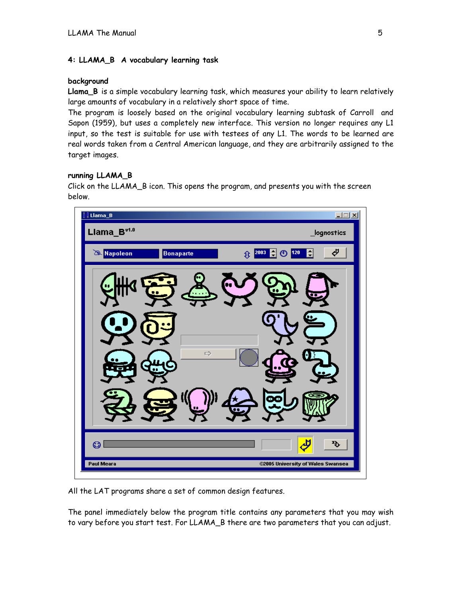# **4: LLAMA\_B A vocabulary learning task**

## **background**

**Llama\_B** is a simple vocabulary learning task, which measures your ability to learn relatively large amounts of vocabulary in a relatively short space of time.

The program is loosely based on the original vocabulary learning subtask of Carroll and Sapon (1959), but uses a completely new interface. This version no longer requires any L1 input, so the test is suitable for use with testees of any L1. The words to be learned are real words taken from a Central American language, and they are arbitrarily assigned to the target images.

# **running LLAMA\_B**

Click on the LLAMA\_B icon. This opens the program, and presents you with the screen below.



All the LAT programs share a set of common design features.

The panel immediately below the program title contains any parameters that you may wish to vary before you start test. For LLAMA\_B there are two parameters that you can adjust.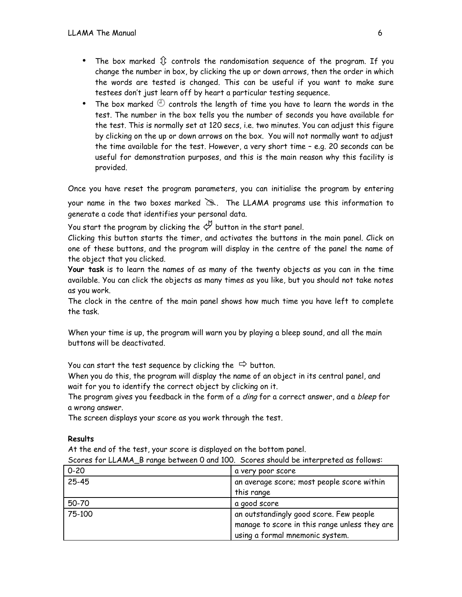- The box marked  $\hat{P}$  controls the randomisation sequence of the program. If you change the number in box, by clicking the up or down arrows, then the order in which the words are tested is changed. This can be useful if you want to make sure testees don't just learn off by heart a particular testing sequence.
- The box marked  $\oplus$  controls the length of time you have to learn the words in the test. The number in the box tells you the number of seconds you have available for the test. This is normally set at 120 secs, i.e. two minutes. You can adjust this figure by clicking on the up or down arrows on the box. You will not normally want to adjust the time available for the test. However, a very short time – e.g. 20 seconds can be useful for demonstration purposes, and this is the main reason why this facility is provided.

Once you have reset the program parameters, you can initialise the program by entering

your name in the two boxes marked  $\geq$ . The LLAMA programs use this information to generate a code that identifies your personal data.

You start the program by clicking the  $\mathcal P$  button in the start panel.

Clicking this button starts the timer, and activates the buttons in the main panel. Click on one of these buttons, and the program will display in the centre of the panel the name of the object that you clicked.

**Your task** is to learn the names of as many of the twenty objects as you can in the time available. You can click the objects as many times as you like, but you should not take notes as you work.

The clock in the centre of the main panel shows how much time you have left to complete the task.

When your time is up, the program will warn you by playing a bleep sound, and all the main buttons will be deactivated.

You can start the test sequence by clicking the  $\Rightarrow$  button.

When you do this, the program will display the name of an object in its central panel, and wait for you to identify the correct object by clicking on it.

The program gives you feedback in the form of a *ding* for a correct answer, and a *bleep* for a wrong answer.

The screen displays your score as you work through the test.

## **Results**

At the end of the test, your score is displayed on the bottom panel.

Scores for LLAMA\_B range between 0 and 100. Scores should be interpreted as follows:

| $0 - 20$ | a very poor score                             |
|----------|-----------------------------------------------|
| 25-45    | an average score; most people score within    |
|          | this range                                    |
| 50-70    | a good score                                  |
| 75-100   | an outstandingly good score. Few people       |
|          | manage to score in this range unless they are |
|          | using a formal mnemonic system.               |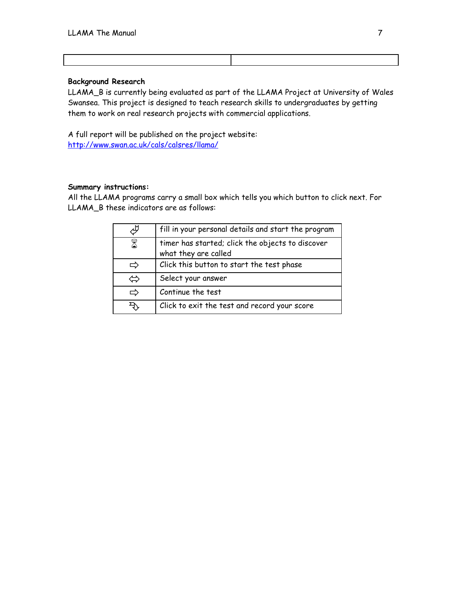#### **Background Research**

LLAMA\_B is currently being evaluated as part of the LLAMA Project at University of Wales Swansea. This project is designed to teach research skills to undergraduates by getting them to work on real research projects with commercial applications.

A full report will be published on the project website: http://www.swan.ac.uk/cals/calsres/llama/

#### **Summary instructions:**

All the LLAMA programs carry a small box which tells you which button to click next. For LLAMA\_B these indicators are as follows:

|              | fill in your personal details and start the program                      |
|--------------|--------------------------------------------------------------------------|
| 8            | timer has started; click the objects to discover<br>what they are called |
| ⇨            | Click this button to start the test phase                                |
| $\leftarrow$ | Select your answer                                                       |
| ⇨            | Continue the test                                                        |
|              | Click to exit the test and record your score                             |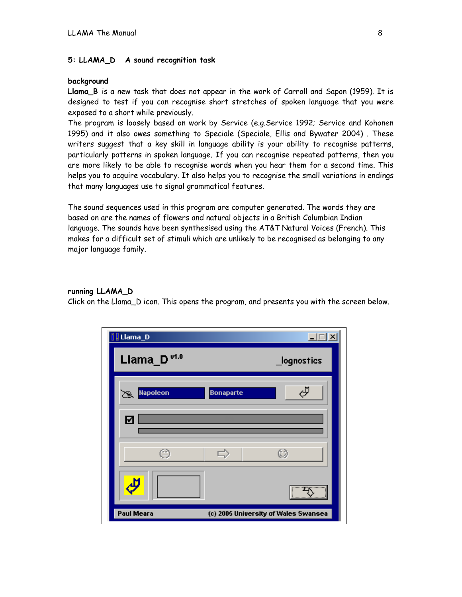#### **5: LLAMA\_D A sound recognition task**

#### **background**

**Llama\_B** is a new task that does not appear in the work of Carroll and Sapon (1959). It is designed to test if you can recognise short stretches of spoken language that you were exposed to a short while previously.

The program is loosely based on work by Service (e.g.Service 1992; Service and Kohonen 1995) and it also owes something to Speciale (Speciale, Ellis and Bywater 2004) . These writers suggest that a key skill in language ability is your ability to recognise patterns, particularly patterns in spoken language. If you can recognise repeated patterns, then you are more likely to be able to recognise words when you hear them for a second time. This helps you to acquire vocabulary. It also helps you to recognise the small variations in endings that many languages use to signal grammatical features.

The sound sequences used in this program are computer generated. The words they are based on are the names of flowers and natural objects in a British Columbian Indian language. The sounds have been synthesised using the AT&T Natural Voices (French). This makes for a difficult set of stimuli which are unlikely to be recognised as belonging to any major language family.

#### **running LLAMA\_D**

Click on the Llama\_D icon. This opens the program, and presents you with the screen below.

| <b>J</b> Llama_D        |                  | $\Box$                               |
|-------------------------|------------------|--------------------------------------|
| Llama_D <sup>v1.0</sup> |                  | _lognostics                          |
| <b>Napoleon</b><br>শে   | <b>Bonaparte</b> | Ď                                    |
| ☑                       |                  |                                      |
| e                       | $\Rightarrow$    | O                                    |
| رلہ                     |                  |                                      |
| Paul Meara              |                  | (c) 2005 University of Wales Swansea |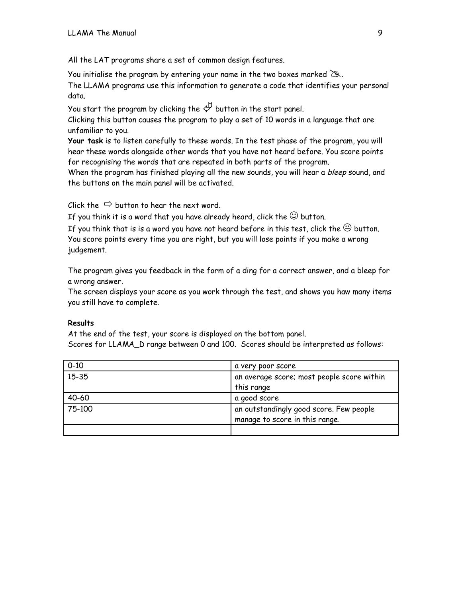All the LAT programs share a set of common design features.

You initialise the program by entering your name in the two boxes marked  $\geq$ .

The LLAMA programs use this information to generate a code that identifies your personal data.

You start the program by clicking the  $\mathcal P$  button in the start panel.

Clicking this button causes the program to play a set of 10 words in a language that are unfamiliar to you.

**Your task** is to listen carefully to these words. In the test phase of the program, you will hear these words alongside other words that you have not heard before. You score points for recognising the words that are repeated in both parts of the program.

When the program has finished playing all the new sounds, you will hear a bleep sound, and the buttons on the main panel will be activated.

Click the  $\Rightarrow$  button to hear the next word.

If you think it is a word that you have already heard, click the  $\mathbb \odot$  button.

If you think that is is a word you have not heard before in this test, click the  $\mathrel{\circleddash}$  button. You score points every time you are right, but you will lose points if you make a wrong judgement.

The program gives you feedback in the form of a ding for a correct answer, and a bleep for a wrong answer.

The screen displays your score as you work through the test, and shows you haw many items you still have to complete.

# **Results**

At the end of the test, your score is displayed on the bottom panel. Scores for LLAMA\_D range between 0 and 100. Scores should be interpreted as follows:

| $0 - 10$  | a very poor score                          |
|-----------|--------------------------------------------|
| $15 - 35$ | an average score; most people score within |
|           | this range                                 |
| 40-60     | a good score                               |
| 75-100    | an outstandingly good score. Few people    |
|           | manage to score in this range.             |
|           |                                            |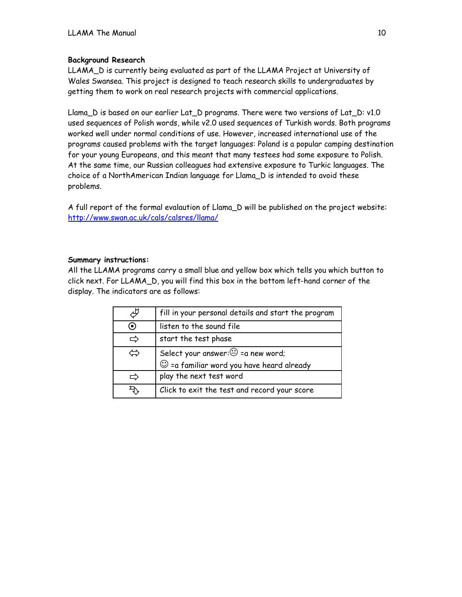# **Background Research**

LLAMA\_D is currently being evaluated as part of the LLAMA Project at University of Wales Swansea. This project is designed to teach research skills to undergraduates by getting them to work on real research projects with commercial applications.

Llama\_D is based on our earlier Lat\_D programs. There were two versions of Lat\_D: v1.0 used sequences of Polish words, while v2.0 used sequences of Turkish words. Both programs worked well under normal conditions of use. However, increased international use of the programs caused problems with the target languages: Poland is a popular camping destination for your young Europeans, and this meant that many testees had some exposure to Polish. At the same time, our Russian colleagues had extensive exposure to Turkic languages. The choice of a NorthAmerican Indian language for Llama\_D is intended to avoid these problems.

A full report of the formal evalaution of Llama\_D will be published on the project website: <http://www.swan.ac.uk/cals/calsres/llama/>

## **Summary instructions:**

All the LLAMA programs carry a small blue and yellow box which tells you which button to click next. For LLAMA\_D, you will find this box in the bottom left-hand corner of the display. The indicators are as follows:

|         | fill in your personal details and start the program                                              |
|---------|--------------------------------------------------------------------------------------------------|
| $\odot$ | listen to the sound file                                                                         |
| ⇨       | start the test phase                                                                             |
| ⇔       | Select your answer: $\bigcirc$ = a new word;<br>$\odot$ = a familiar word you have heard already |
|         | play the next test word                                                                          |
|         | Click to exit the test and record your score                                                     |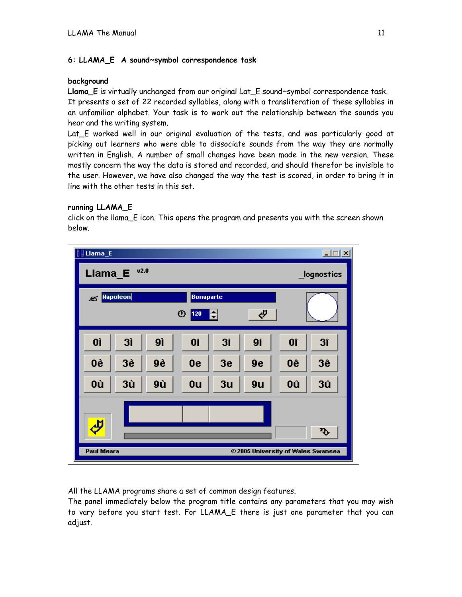# **6: LLAMA\_E A sound~symbol correspondence task**

## **background**

**Llama\_E** is virtually unchanged from our original Lat\_E sound~symbol correspondence task. It presents a set of 22 recorded syllables, along with a transliteration of these syllables in an unfamiliar alphabet. Your task is to work out the relationship between the sounds you hear and the writing system.

Lat E worked well in our original evaluation of the tests, and was particularly good at picking out learners who were able to dissociate sounds from the way they are normally written in English. A number of small changes have been made in the new version. These mostly concern the way the data is stored and recorded, and should therefor be invisible to the user. However, we have also changed the way the test is scored, in order to bring it in line with the other tests in this set.

# **running LLAMA\_E**

click on the llama\_E icon. This opens the program and presents you with the screen shown below.



All the LLAMA programs share a set of common design features.

The panel immediately below the program title contains any parameters that you may wish to vary before you start test. For LLAMA\_E there is just one parameter that you can adjust.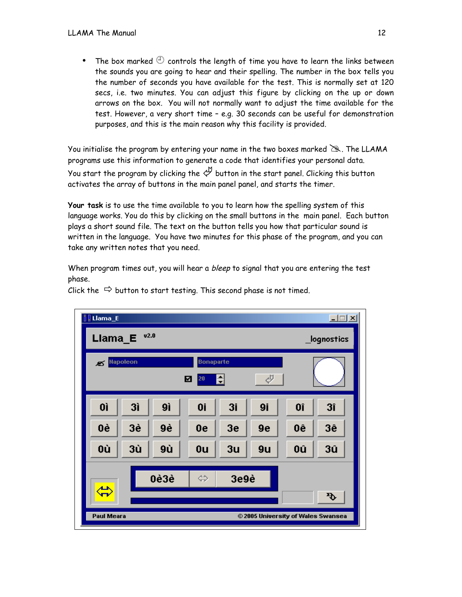• The box marked  $\oplus$  controls the length of time you have to learn the links between the sounds you are going to hear and their spelling. The number in the box tells you the number of seconds you have available for the test. This is normally set at 120 secs, i.e. two minutes. You can adjust this figure by clicking on the up or down arrows on the box. You will not normally want to adjust the time available for the test. However, a very short time – e.g. 30 seconds can be useful for demonstration purposes, and this is the main reason why this facility is provided.

You initialise the program by entering your name in the two boxes marked  $\geq$ . The LLAMA programs use this information to generate a code that identifies your personal data. You start the program by clicking the  $\not \!\!\! \hookrightarrow$  button in the start panel. Clicking this button activates the array of buttons in the main panel panel, and starts the timer.

**Your task** is to use the time available to you to learn how the spelling system of this language works. You do this by clicking on the small buttons in the main panel. Each button plays a short sound file. The text on the button tells you how that particular sound is written in the language. You have two minutes for this phase of the program, and you can take any written notes that you need.

When program times out, you will hear a bleep to signal that you are entering the test phase.



Click the  $\Rightarrow$  button to start testing. This second phase is not timed.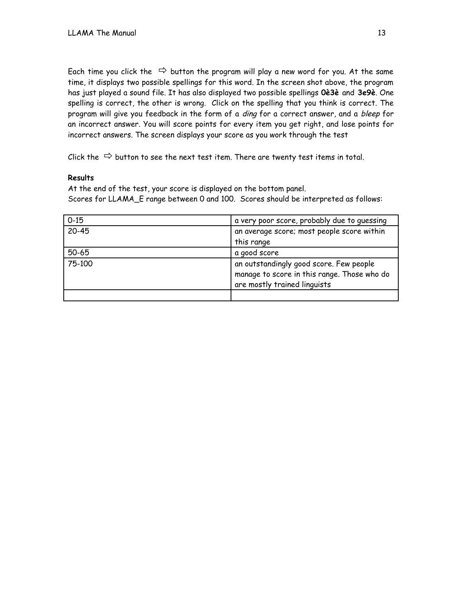Each time you click the  $\Rightarrow$  button the program will play a new word for you. At the same time, it displays two possible spellings for this word. In the screen shot above, the program has just played a sound file. It has also displayed two possible spellings **0è3è** and **3e9è**. One spelling is correct, the other is wrong. Click on the spelling that you think is correct. The program will give you feedback in the form of a *ding* for a correct answer, and a bleep for an incorrect answer. You will score points for every item you get right, and lose points for incorrect answers. The screen displays your score as you work through the test

Click the  $\Rightarrow$  button to see the next test item. There are twenty test items in total.

## **Results**

At the end of the test, your score is displayed on the bottom panel. Scores for LLAMA\_E range between 0 and 100. Scores should be interpreted as follows:

| $0 - 15$ | a very poor score, probably due to quessing                                                                            |
|----------|------------------------------------------------------------------------------------------------------------------------|
| 20-45    | an average score; most people score within                                                                             |
|          | this range                                                                                                             |
| 50-65    | a good score                                                                                                           |
| 75-100   | an outstandingly good score. Few people<br>manage to score in this range. Those who do<br>are mostly trained linguists |
|          |                                                                                                                        |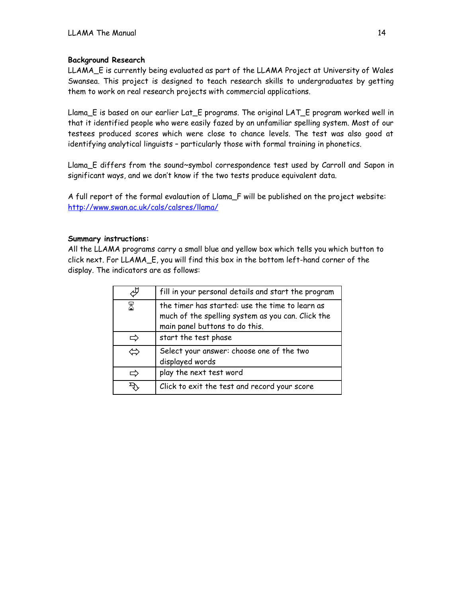# **Background Research**

LLAMA\_E is currently being evaluated as part of the LLAMA Project at University of Wales Swansea. This project is designed to teach research skills to undergraduates by getting them to work on real research projects with commercial applications.

Llama\_E is based on our earlier Lat\_E programs. The original LAT\_E program worked well in that it identified people who were easily fazed by an unfamiliar spelling system. Most of our testees produced scores which were close to chance levels. The test was also good at identifying analytical linguists – particularly those with formal training in phonetics.

Llama\_E differs from the sound~symbol correspondence test used by Carroll and Sapon in significant ways, and we don't know if the two tests produce equivalent data.

A full report of the formal evalaution of Llama\_F will be published on the project website: <http://www.swan.ac.uk/cals/calsres/llama/>

## **Summary instructions:**

All the LLAMA programs carry a small blue and yellow box which tells you which button to click next. For LLAMA\_E, you will find this box in the bottom left-hand corner of the display. The indicators are as follows:

|     | fill in your personal details and start the program                                                                                    |
|-----|----------------------------------------------------------------------------------------------------------------------------------------|
| 8   | the timer has started: use the time to learn as<br>much of the spelling system as you can. Click the<br>main panel buttons to do this. |
|     | start the test phase                                                                                                                   |
| رسي | Select your answer: choose one of the two<br>displayed words                                                                           |
|     | play the next test word                                                                                                                |
|     | Click to exit the test and record your score                                                                                           |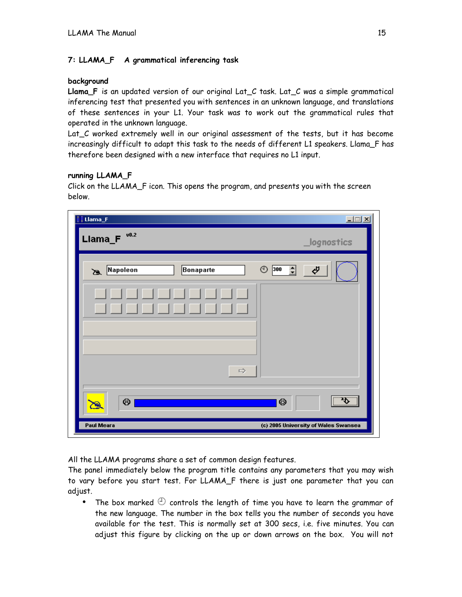# **7: LLAMA\_F A grammatical inferencing task**

#### **background**

**Llama\_F** is an updated version of our original Lat\_C task. Lat\_C was a simple grammatical inferencing test that presented you with sentences in an unknown language, and translations of these sentences in your L1. Your task was to work out the grammatical rules that operated in the unknown language.

Lat C worked extremely well in our original assessment of the tests, but it has become increasingly difficult to adapt this task to the needs of different L1 speakers. Llama\_F has therefore been designed with a new interface that requires no L1 input.

## **running LLAMA\_F**

Click on the LLAMA\_F icon. This opens the program, and presents you with the screen below.

| $\frac{1}{2}$ [ Llama_F<br>v0.2<br>Llama_F |               | $\Box$                                    |
|--------------------------------------------|---------------|-------------------------------------------|
|                                            |               | _lognostics                               |
| Napoleon<br>Ø                              | Bonaparte     | ⊕<br>즼<br>Φ<br>300                        |
|                                            |               |                                           |
|                                            |               |                                           |
|                                            |               |                                           |
|                                            | $\Rightarrow$ |                                           |
| ☺                                          |               | $\overline{\mathcal{F}}$<br>☺<br>$\vdots$ |
| Ø<br>Paul Meara                            |               | (c) 2005 University of Wales Swansea      |

All the LLAMA programs share a set of common design features.

The panel immediately below the program title contains any parameters that you may wish to vary before you start test. For LLAMA\_F there is just one parameter that you can adjust.

• The box marked  $\bigoplus$  controls the length of time you have to learn the grammar of the new language. The number in the box tells you the number of seconds you have available for the test. This is normally set at 300 secs, i.e. five minutes. You can adjust this figure by clicking on the up or down arrows on the box. You will not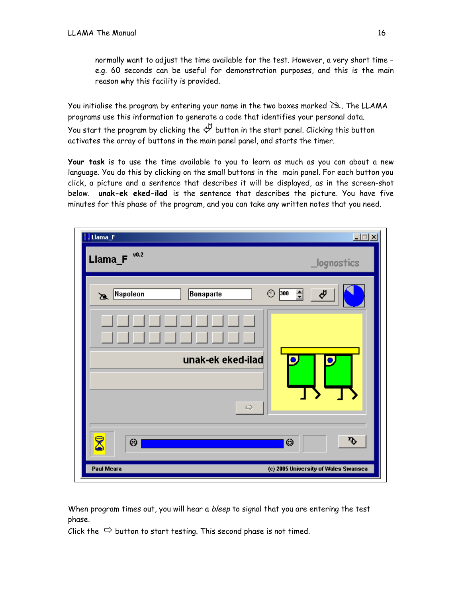normally want to adjust the time available for the test. However, a very short time – e.g. 60 seconds can be useful for demonstration purposes, and this is the main reason why this facility is provided.

You initialise the program by entering your name in the two boxes marked  $\geq$ . The LLAMA programs use this information to generate a code that identifies your personal data. You start the program by clicking the  $\overset{\mathcal{M}}{\leftarrow}$  button in the start panel. Clicking this button activates the array of buttons in the main panel panel, and starts the timer.

**Your task** is to use the time available to you to learn as much as you can about a new language. You do this by clicking on the small buttons in the main panel. For each button you click, a picture and a sentence that describes it will be displayed, as in the screen-shot below. **unak-ek eked-ilad** is the sentence that describes the picture. You have five minutes for this phase of the program, and you can take any written notes that you need.

| <b>Uama_F</b><br>Llama_ $F$ <sup>v0.2</sup> | $\Box$<br>_lognostics                |
|---------------------------------------------|--------------------------------------|
| Napoleon<br>Ø.                              | ⊕<br>긐<br>300<br>Ф<br>Bonaparte      |
|                                             | unak-ek eked-ilad                    |
|                                             | $\Rightarrow$                        |
| 8<br>⊕                                      | $\mathbf{\Phi}$<br>☺                 |
| Paul Meara                                  | (c) 2005 University of Wales Swansea |

When program times out, you will hear a bleep to signal that you are entering the test phase.

Click the  $\Rightarrow$  button to start testing. This second phase is not timed.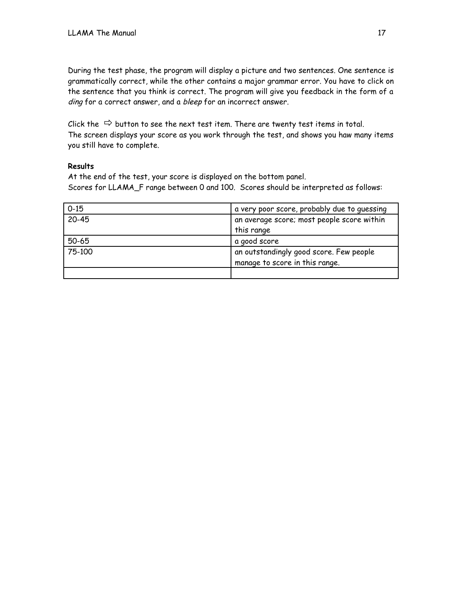During the test phase, the program will display a picture and two sentences. One sentence is grammatically correct, while the other contains a major grammar error. You have to click on the sentence that you think is correct. The program will give you feedback in the form of a ding for a correct answer, and a bleep for an incorrect answer.

Click the  $\Rightarrow$  button to see the next test item. There are twenty test items in total. The screen displays your score as you work through the test, and shows you haw many items you still have to complete.

# **Results**

At the end of the test, your score is displayed on the bottom panel. Scores for LLAMA\_F range between 0 and 100. Scores should be interpreted as follows:

| $0 - 15$  | a very poor score, probably due to quessing |
|-----------|---------------------------------------------|
| $20 - 45$ | an average score; most people score within  |
|           | this range                                  |
| 50-65     | a good score                                |
| 75-100    | an outstandingly good score. Few people     |
|           | manage to score in this range.              |
|           |                                             |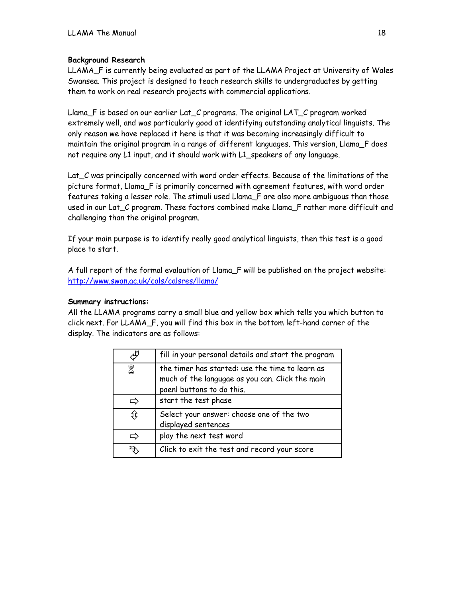# **Background Research**

LLAMA\_F is currently being evaluated as part of the LLAMA Project at University of Wales Swansea. This project is designed to teach research skills to undergraduates by getting them to work on real research projects with commercial applications.

Llama\_F is based on our earlier Lat\_C programs. The original LAT\_C program worked extremely well, and was particularly good at identifying outstanding analytical linguists. The only reason we have replaced it here is that it was becoming increasingly difficult to maintain the original program in a range of different languages. This version, Llama\_F does not require any L1 input, and it should work with L1\_speakers of any language.

Lat\_C was principally concerned with word order effects. Because of the limitations of the picture format, Llama\_F is primarily concerned with agreement features, with word order features taking a lesser role. The stimuli used Llama\_F are also more ambiguous than those used in our Lat\_C program. These factors combined make Llama\_F rather more difficult and challenging than the original program.

If your main purpose is to identify really good analytical linguists, then this test is a good place to start.

A full report of the formal evalaution of Llama\_F will be published on the project website: <http://www.swan.ac.uk/cals/calsres/llama/>

## **Summary instructions:**

All the LLAMA programs carry a small blue and yellow box which tells you which button to click next. For LLAMA\_F, you will find this box in the bottom left-hand corner of the display. The indicators are as follows:

|    | fill in your personal details and start the program                                                                             |  |
|----|---------------------------------------------------------------------------------------------------------------------------------|--|
| 8  | the timer has started: use the time to learn as<br>much of the langugae as you can. Click the main<br>paenl buttons to do this. |  |
|    | start the test phase                                                                                                            |  |
| Ĵ¢ | Select your answer: choose one of the two<br>displayed sentences                                                                |  |
|    | play the next test word                                                                                                         |  |
|    | Click to exit the test and record your score                                                                                    |  |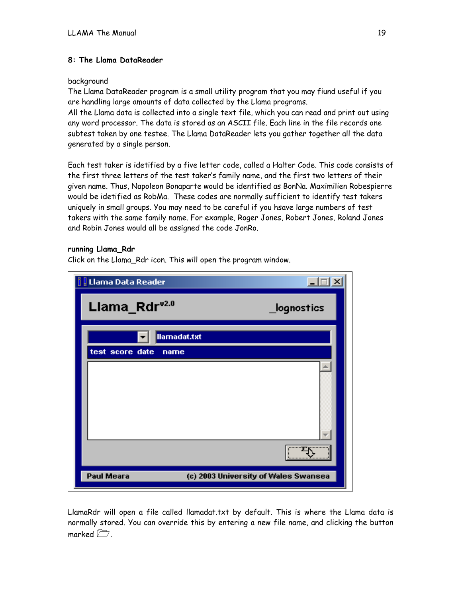# **8: The Llama DataReader**

## background

The Llama DataReader program is a small utility program that you may fiund useful if you are handling large amounts of data collected by the Llama programs.

All the Llama data is collected into a single text file, which you can read and print out using any word processor. The data is stored as an ASCII file. Each line in the file records one subtest taken by one testee. The Llama DataReader lets you gather together all the data generated by a single person.

Each test taker is idetified by a five letter code, called a Halter Code. This code consists of the first three letters of the test taker's family name, and the first two letters of their given name. Thus, Napoleon Bonaparte would be identified as BonNa. Maximilien Robespierre would be idetified as RobMa. These codes are normally sufficient to identify test takers uniquely in small groups. You may need to be careful if you hsave large numbers of test takers with the same family name. For example, Roger Jones, Robert Jones, Roland Jones and Robin Jones would all be assigned the code JonRo.

# **running Llama\_Rdr**

Click on the Llama\_Rdr icon. This will open the program window.

| <b>Llama Data Reader</b>                           |             |  |
|----------------------------------------------------|-------------|--|
| Llama_Rdr <sup>v2.0</sup>                          | _lognostics |  |
| llamadat.txt<br>test score date<br>name            |             |  |
|                                                    |             |  |
|                                                    |             |  |
|                                                    |             |  |
| Paul Meara<br>(c) 2003 University of Wales Swansea |             |  |

LlamaRdr will open a file called llamadat.txt by default. This is where the Llama data is normally stored. You can override this by entering a new file name, and clicking the button marked  $\sqrt{7}$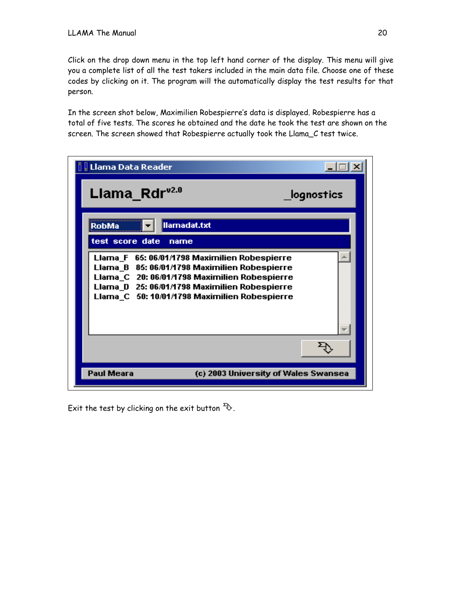Click on the drop down menu in the top left hand corner of the display. This menu will give you a complete list of all the test takers included in the main data file. Choose one of these codes by clicking on it. The program will the automatically display the test results for that person.

In the screen shot below, Maximilien Robespierre's data is displayed. Robespierre has a total of five tests. The scores he obtained and the date he took the test are shown on the screen. The screen showed that Robespierre actually took the Llama\_C test twice.

| . Llama Data Reader                                                                                                                                                                                                                               |  |  |
|---------------------------------------------------------------------------------------------------------------------------------------------------------------------------------------------------------------------------------------------------|--|--|
| Llama Rdr <sup>v2.0</sup><br>lognostics                                                                                                                                                                                                           |  |  |
| llamadat.txt<br>RobMa<br>test score date<br>name                                                                                                                                                                                                  |  |  |
| Llama_F 65: 06/01/1798 Maximilien Robespierre<br>Llama_B 85: 06/01/1798 Maximilien Robespierre<br>Llama_C 20: 06/01/1798 Maximilien Robespierre<br>Llama_D 25: 06/01/1798 Maximilien Robespierre<br>Llama_C 50: 10/01/1798 Maximilien Robespierre |  |  |
|                                                                                                                                                                                                                                                   |  |  |
| Paul Meara<br>(c) 2003 University of Wales Swansea                                                                                                                                                                                                |  |  |

Exit the test by clicking on the exit button  $\mathcal{D}$ .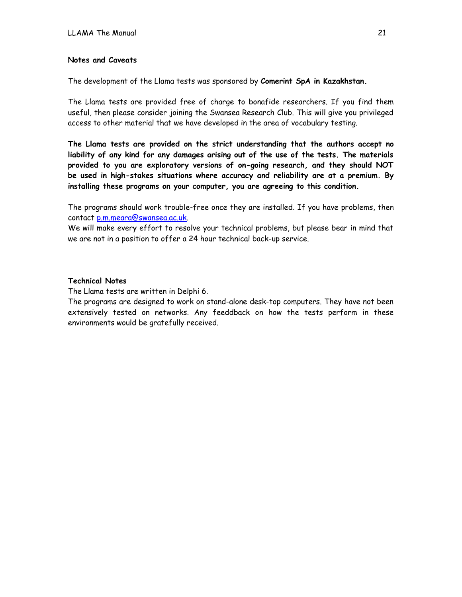#### **Notes and Caveats**

The development of the Llama tests was sponsored by **Comerint SpA in Kazakhstan.**

The Llama tests are provided free of charge to bonafide researchers. If you find them useful, then please consider joining the Swansea Research Club. This will give you privileged access to other material that we have developed in the area of vocabulary testing.

**The Llama tests are provided on the strict understanding that the authors accept no liability of any kind for any damages arising out of the use of the tests. The materials provided to you are exploratory versions of on-going research, and they should NOT be used in high-stakes situations where accuracy and reliability are at a premium. By installing these programs on your computer, you are agreeing to this condition.**

The programs should work trouble-free once they are installed. If you have problems, then contact [p.m.meara@swansea.ac.uk.](mailto:p.m.meara@swansea.ac.uk)

We will make every effort to resolve your technical problems, but please bear in mind that we are not in a position to offer a 24 hour technical back-up service.

## **Technical Notes**

The Llama tests are written in Delphi 6.

The programs are designed to work on stand-alone desk-top computers. They have not been extensively tested on networks. Any feeddback on how the tests perform in these environments would be gratefully received.